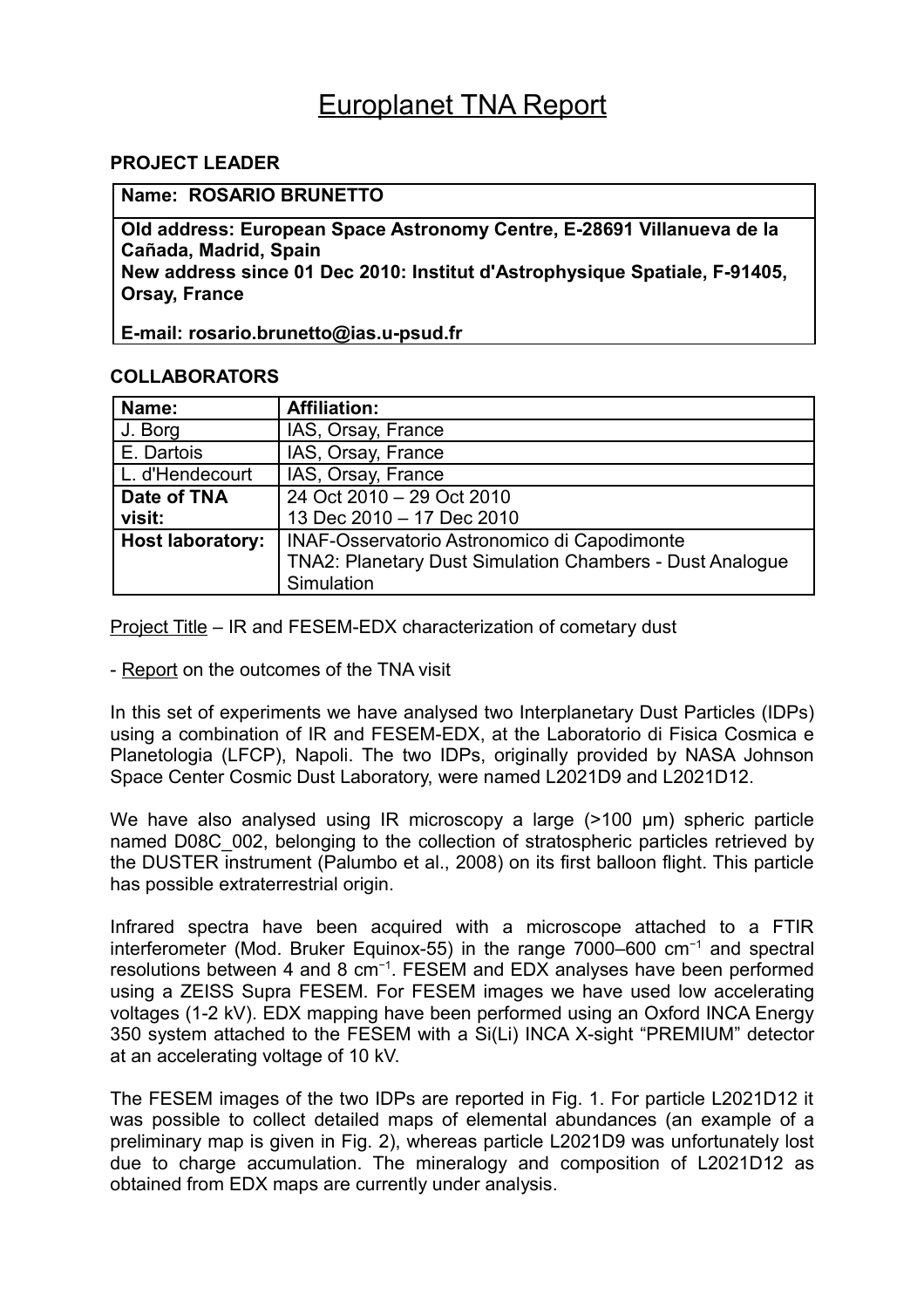# Europlanet TNA Report

## **PROJECT LEADER**

#### **Name: ROSARIO BRUNETTO**

**Old address: European Space Astronomy Centre, E-28691 Villanueva de la Cañada, Madrid, Spain New address since 01 Dec 2010: Institut d'Astrophysique Spatiale, F-91405, Orsay, France**

**E-mail: rosario.brunetto@ias.u-psud.fr**

#### **COLLABORATORS**

| Name:                   | <b>Affiliation:</b>                                      |
|-------------------------|----------------------------------------------------------|
| J. Borg                 | IAS, Orsay, France                                       |
| E. Dartois              | IAS, Orsay, France                                       |
| L. d'Hendecourt         | IAS, Orsay, France                                       |
| Date of TNA             | $\overline{24}$ Oct 2010 - 29 Oct 2010                   |
| visit:                  | 13 Dec 2010 - 17 Dec 2010                                |
| <b>Host laboratory:</b> | INAF-Osservatorio Astronomico di Capodimonte             |
|                         | TNA2: Planetary Dust Simulation Chambers - Dust Analogue |
|                         | Simulation                                               |

Project Title – IR and FESEM-EDX characterization of cometary dust

- Report on the outcomes of the TNA visit

In this set of experiments we have analysed two Interplanetary Dust Particles (IDPs) using a combination of IR and FESEM-EDX, at the Laboratorio di Fisica Cosmica e Planetologia (LFCP), Napoli. The two IDPs, originally provided by NASA Johnson Space Center Cosmic Dust Laboratory, were named L2021D9 and L2021D12.

We have also analysed using IR microscopy a large (>100 µm) spheric particle named D08C\_002, belonging to the collection of stratospheric particles retrieved by the DUSTER instrument (Palumbo et al., 2008) on its first balloon flight. This particle has possible extraterrestrial origin.

Infrared spectra have been acquired with a microscope attached to a FTIR interferometer (Mod. Bruker Equinox-55) in the range 7000–600 cm−1 and spectral resolutions between 4 and 8 cm<sup>-1</sup>. FESEM and EDX analyses have been performed using a ZEISS Supra FESEM. For FESEM images we have used low accelerating voltages (1-2 kV). EDX mapping have been performed using an Oxford INCA Energy 350 system attached to the FESEM with a Si(Li) INCA X-sight "PREMIUM" detector at an accelerating voltage of 10 kV.

The FESEM images of the two IDPs are reported in Fig. 1. For particle L2021D12 it was possible to collect detailed maps of elemental abundances (an example of a preliminary map is given in Fig. 2), whereas particle L2021D9 was unfortunately lost due to charge accumulation. The mineralogy and composition of L2021D12 as obtained from EDX maps are currently under analysis.